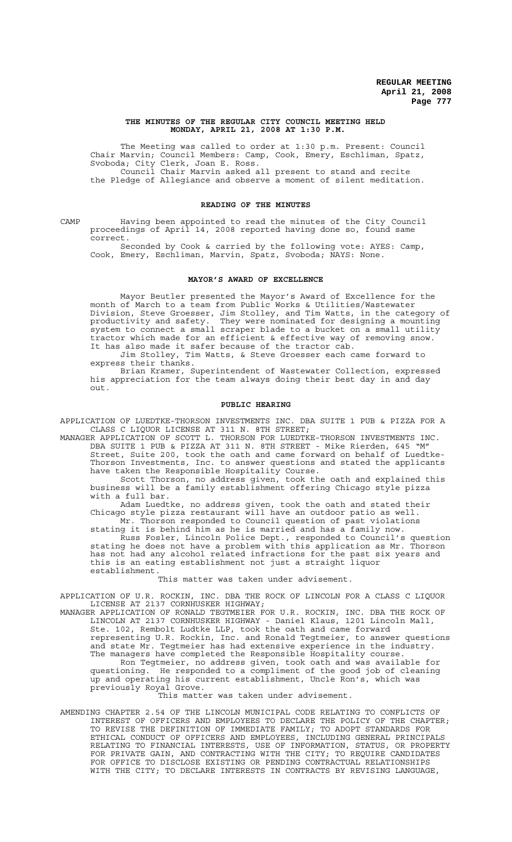## **THE MINUTES OF THE REGULAR CITY COUNCIL MEETING HELD MONDAY, APRIL 21, 2008 AT 1:30 P.M.**

The Meeting was called to order at 1:30 p.m. Present: Council Chair Marvin; Council Members: Camp, Cook, Emery, Eschliman, Spatz, Svoboda; City Clerk, Joan E. Ross. Council Chair Marvin asked all present to stand and recite the Pledge of Allegiance and observe a moment of silent meditation.

### **READING OF THE MINUTES**

CAMP Having been appointed to read the minutes of the City Council proceedings of April 14, 2008 reported having done so, found same correct.

Seconded by Cook & carried by the following vote: AYES: Camp, Cook, Emery, Eschliman, Marvin, Spatz, Svoboda; NAYS: None.

### **MAYOR'S AWARD OF EXCELLENCE**

Mayor Beutler presented the Mayor's Award of Excellence for the month of March to a team from Public Works & Utilities/Wastewater Division, Steve Groesser, Jim Stolley, and Tim Watts, in the category of productivity and safety. They were nominated for designing a mounting system to connect a small scraper blade to a bucket on a small utility tractor which made for an efficient & effective way of removing snow. It has also made it safer because of the tractor cab.

Jim Stolley, Tim Watts, & Steve Groesser each came forward to express their thanks.

Brian Kramer, Superintendent of Wastewater Collection, expressed his appreciation for the team always doing their best day in and day out.

#### **PUBLIC HEARING**

APPLICATION OF LUEDTKE-THORSON INVESTMENTS INC. DBA SUITE 1 PUB & PIZZA FOR A CLASS C LIQUOR LICENSE AT 311 N. 8TH STREET;

MANAGER APPLICATION OF SCOTT L. THORSON FOR LUEDTKE-THORSON INVESTMENTS INC. DBA SUITE 1 PUB & PIZZA AT 311 N. 8TH STREET - Mike Rierden, 645 "M" Street, Suite 200, took the oath and came forward on behalf of Luedtke-Thorson Investments, Inc. to answer questions and stated the applicants have taken the Responsible Hospitality Course.

Scott Thorson, no address given, took the oath and explained this business will be a family establishment offering Chicago style pizza with a full bar.

Adam Luedtke, no address given, took the oath and stated their Chicago style pizza restaurant will have an outdoor patio as well. Mr. Thorson responded to Council question of past violations

stating it is behind him as he is married and has a family now. Russ Fosler, Lincoln Police Dept., responded to Council's question stating he does not have a problem with this application as Mr. Thorson has not had any alcohol related infractions for the past six years and this is an eating establishment not just a straight liquor establishment.

This matter was taken under advisement.

APPLICATION OF U.R. ROCKIN, INC. DBA THE ROCK OF LINCOLN FOR A CLASS C LIQUOR LICENSE AT 2137 CORNHUSKER HIGHWAY;

MANAGER APPLICATION OF RONALD TEGTMEIER FOR U.R. ROCKIN, INC. DBA THE ROCK OF LINCOLN AT 2137 CORNHUSKER HIGHWAY - Daniel Klaus, 1201 Lincoln Mall, Ste. 102, Rembolt Ludtke LLP, took the oath and came forward

representing U.R. Rockin, Inc. and Ronald Tegtmeier, to answer questions and state Mr. Tegtmeier has had extensive experience in the industry. The managers have completed the Responsible Hospitality course.

Ron Tegtmeier, no address given, took oath and was available for questioning. He responded to a compliment of the good job of cleaning up and operating his current establishment, Uncle Ron's, which was previously Royal Grove.

This matter was taken under advisement.

AMENDING CHAPTER 2.54 OF THE LINCOLN MUNICIPAL CODE RELATING TO CONFLICTS OF INTEREST OF OFFICERS AND EMPLOYEES TO DECLARE THE POLICY OF THE CHAPTER; TO REVISE THE DEFINITION OF IMMEDIATE FAMILY; TO ADOPT STANDARDS FOR ETHICAL CONDUCT OF OFFICERS AND EMPLOYEES, INCLUDING GENERAL PRINCIPALS RELATING TO FINANCIAL INTERESTS, USE OF INFORMATION, STATUS, OR PROPERTY FOR PRIVATE GAIN, AND CONTRACTING WITH THE CITY; TO REQUIRE CANDIDATES FOR OFFICE TO DISCLOSE EXISTING OR PENDING CONTRACTUAL RELATIONSHIPS WITH THE CITY; TO DECLARE INTERESTS IN CONTRACTS BY REVISING LANGUAGE,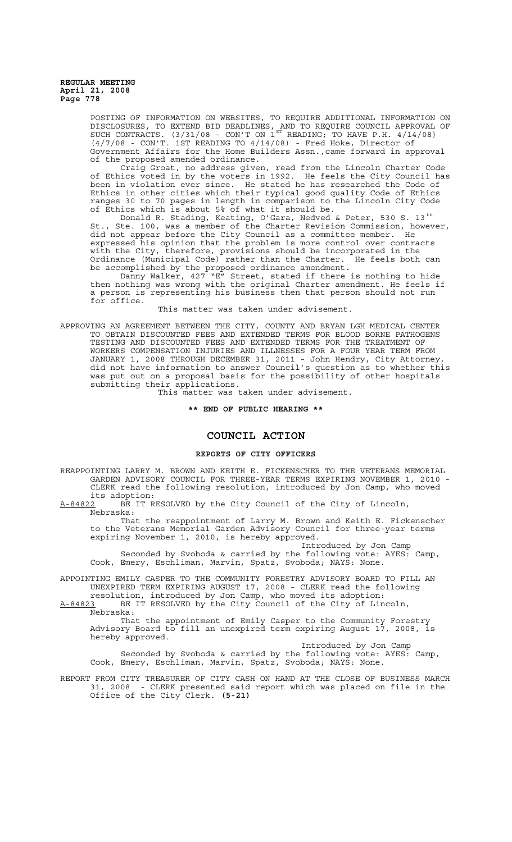> POSTING OF INFORMATION ON WEBSITES, TO REQUIRE ADDITIONAL INFORMATION ON DISCLOSURES, TO EXTEND BID DEADLINES, AND TO REQUIRE COUNCIL APPROVAL OF SUCH CONTRACTS.  $(3/31/08$  - CON'T ON  $1^{ST}$  READING; TO HAVE P.H.  $4/14/08$ ) (4/7/08 - CON'T. 1ST READING TO 4/14/08) - Fred Hoke, Director of Government Affairs for the Home Builders Assn.,came forward in approval of the proposed amended ordinance.

> Craig Groat, no address given, read from the Lincoln Charter Code of Ethics voted in by the voters in 1992. He feels the City Council has been in violation ever since. He stated he has researched the Code of Ethics in other cities which their typical good quality Code of Ethics ranges 30 to 70 pages in length in comparison to the Lincoln City Code of Ethics which is about 5% of what it should be.

> Donald R. Stading, Keating, O'Gara, Nedved & Peter, 530 S. 13 $^{\rm th}$ St., Ste. 100, was a member of the Charter Revision Commission, however, did not appear before the City Council as a committee member. He expressed his opinion that the problem is more control over contracts with the City, therefore, provisions should be incorporated in the Ordinance (Municipal Code) rather than the Charter. He feels both can be accomplished by the proposed ordinance amendment.

Danny Walker, 427 "E" Street, stated if there is nothing to hide then nothing was wrong with the original Charter amendment. He feels if a person is representing his business then that person should not run for office.

This matter was taken under advisement.

APPROVING AN AGREEMENT BETWEEN THE CITY, COUNTY AND BRYAN LGH MEDICAL CENTER TO OBTAIN DISCOUNTED FEES AND EXTENDED TERMS FOR BLOOD BORNE PATHOGENS TESTING AND DISCOUNTED FEES AND EXTENDED TERMS FOR THE TREATMENT OF WORKERS COMPENSATION INJURIES AND ILLNESSES FOR A FOUR YEAR TERM FROM JANUARY 1, 2008 THROUGH DECEMBER 31, 2011 - John Hendry, City Attorney, did not have information to answer Council's question as to whether this was put out on a proposal basis for the possibility of other hospitals submitting their applications.

This matter was taken under advisement.

**\*\* END OF PUBLIC HEARING \*\***

# **COUNCIL ACTION**

#### **REPORTS OF CITY OFFICERS**

REAPPOINTING LARRY M. BROWN AND KEITH E. FICKENSCHER TO THE VETERANS MEMORIAL GARDEN ADVISORY COUNCIL FOR THREE-YEAR TERMS EXPIRING NOVEMBER 1, 2010 - CLERK read the following resolution, introduced by Jon Camp, who moved

its adoption:<br><u>A-84822</u> BE IT R BE IT RESOLVED by the City Council of the City of Lincoln, Nebraska:

That the reappointment of Larry M. Brown and Keith E. Fickenscher to the Veterans Memorial Garden Advisory Council for three-year terms expiring November 1, 2010, is hereby approved.

Introduced by Jon Camp Seconded by Svoboda & carried by the following vote: AYES: Camp, Cook, Emery, Eschliman, Marvin, Spatz, Svoboda; NAYS: None.

APPOINTING EMILY CASPER TO THE COMMUNITY FORESTRY ADVISORY BOARD TO FILL AN UNEXPIRED TERM EXPIRING AUGUST 17, 2008 - CLERK read the following

resolution, introduced by Jon Camp, who moved its adoption: A-84823 BE IT RESOLVED by the City Council of the City of Lincoln,  $A-84823$  BE<br>Nebraska:

That the appointment of Emily Casper to the Community Forestry Advisory Board to fill an unexpired term expiring August 17, 2008, is hereby approved.

Introduced by Jon Camp

Seconded by Svoboda & carried by the following vote: AYES: Camp, Cook, Emery, Eschliman, Marvin, Spatz, Svoboda; NAYS: None.

REPORT FROM CITY TREASURER OF CITY CASH ON HAND AT THE CLOSE OF BUSINESS MARCH 31, 2008 - CLERK presented said report which was placed on file in the Office of the City Clerk. **(5-21)**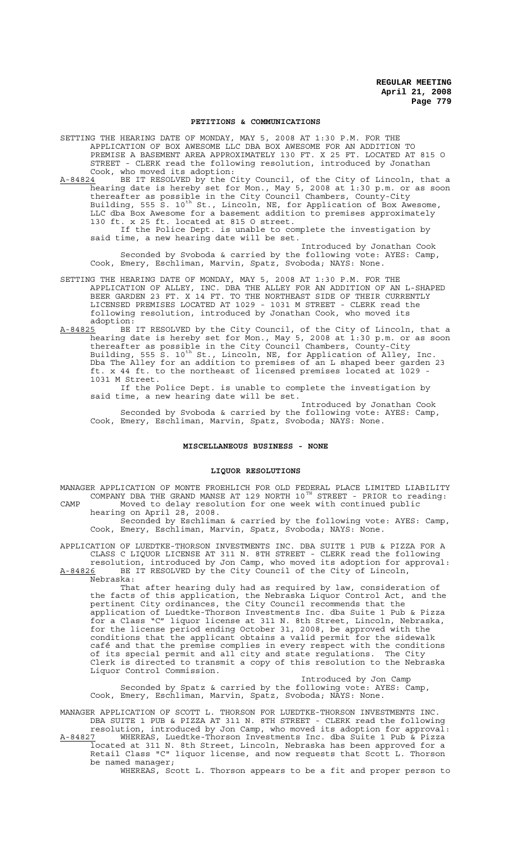#### **PETITIONS & COMMUNICATIONS**

SETTING THE HEARING DATE OF MONDAY, MAY 5, 2008 AT 1:30 P.M. FOR THE APPLICATION OF BOX AWESOME LLC DBA BOX AWESOME FOR AN ADDITION TO PREMISE A BASEMENT AREA APPROXIMATELY 130 FT. X 25 FT. LOCATED AT 815 O STREET - CLERK read the following resolution, introduced by Jonathan Cook, who moved its adoption:

A-84824 BE IT RESOLVED by the City Council, of the City of Lincoln, that a hearing date is hereby set for Mon., May 5, 2008 at 1:30 p.m. or as soon thereafter as possible in the City Council Chambers, County-City Building, 555 S. 10<sup>th</sup> St., Lincoln, NE, for Application of Box Awesome, LLC dba Box Awesome for a basement addition to premises approximately 130 ft. x 25 ft. located at 815 O street. If the Police Dept. is unable to complete the investigation by said time, a new hearing date will be set.

Introduced by Jonathan Cook Seconded by Svoboda & carried by the following vote: AYES: Camp, Cook, Emery, Eschliman, Marvin, Spatz, Svoboda; NAYS: None.

SETTING THE HEARING DATE OF MONDAY, MAY 5, 2008 AT 1:30 P.M. FOR THE APPLICATION OF ALLEY, INC. DBA THE ALLEY FOR AN ADDITION OF AN L-SHAPED BEER GARDEN 23 FT. X 14 FT. TO THE NORTHEAST SIDE OF THEIR CURRENTLY LICENSED PREMISES LOCATED AT 1029 - 1031 M STREET - CLERK read the following resolution, introduced by Jonathan Cook, who moved its adoption:

A-84825 BE IT RESOLVED by the City Council, of the City of Lincoln, that a hearing date is hereby set for Mon., May 5, 2008 at 1:30 p.m. or as soon thereafter as possible in the City Council Chambers, County-City Building, 555 S. 10<sup>th</sup> St., Lincoln, NE, for Application of Alley, Inc. Dba The Alley for an addition to premises of an L shaped beer garden 23 ft. x 44 ft. to the northeast of licensed premises located at 1029 - 1031 M Street.

If the Police Dept. is unable to complete the investigation by said time, a new hearing date will be set.

Introduced by Jonathan Cook Seconded by Svoboda & carried by the following vote: AYES: Camp, Cook, Emery, Eschliman, Marvin, Spatz, Svoboda; NAYS: None.

## **MISCELLANEOUS BUSINESS - NONE**

## **LIQUOR RESOLUTIONS**

MANAGER APPLICATION OF MONTE FROEHLICH FOR OLD FEDERAL PLACE LIMITED LIABILITY COMPANY DBA THE GRAND MANSE AT 129 NORTH  $10^{TH}$  STREET - PRIOR to reading: CAMP Moved to delay resolution for one week with continued public

hearing on April 28, 2008. Seconded by Eschliman & carried by the following vote: AYES: Camp, Cook, Emery, Eschliman, Marvin, Spatz, Svoboda; NAYS: None.

APPLICATION OF LUEDTKE-THORSON INVESTMENTS INC. DBA SUITE 1 PUB & PIZZA FOR A CLASS C LIQUOR LICENSE AT 311 N. 8TH STREET - CLERK read the following resolution, introduced by Jon Camp, who moved its adoption for approval:

A-84826 BE IT RESOLVED by the City Council of the City of Lincoln, Nebraska:

That after hearing duly had as required by law, consideration of the facts of this application, the Nebraska Liquor Control Act, and the pertinent City ordinances, the City Council recommends that the application of Luedtke-Thorson Investments Inc. dba Suite 1 Pub & Pizza for a Class "C" liquor license at 311 N. 8th Street, Lincoln, Nebraska, for the license period ending October 31, 2008, be approved with the conditions that the applicant obtains a valid permit for the sidewalk café and that the premise complies in every respect with the conditions of its special permit and all city and state regulations. The City Clerk is directed to transmit a copy of this resolution to the Nebraska Liquor Control Commission.

Introduced by Jon Camp Seconded by Spatz & carried by the following vote: AYES: Camp, Cook, Emery, Eschliman, Marvin, Spatz, Svoboda; NAYS: None.

MANAGER APPLICATION OF SCOTT L. THORSON FOR LUEDTKE-THORSON INVESTMENTS INC. DBA SUITE 1 PUB & PIZZA AT 311 N. 8TH STREET - CLERK read the following resolution, introduced by Jon Camp, who moved its adoption for approval:<br>A-84827 WHEREAS, Luedtke-Thorson Investments Inc. dba Suite 1 Pub & Pizza A-84827 WHEREAS, Luedtke-Thorson Investments Inc. dba Suite 1 Pub & Pizza located at 311 N. 8th Street, Lincoln, Nebraska has been approved for a

Retail Class "C" liquor license, and now requests that Scott L. Thorson be named manager;

WHEREAS, Scott L. Thorson appears to be a fit and proper person to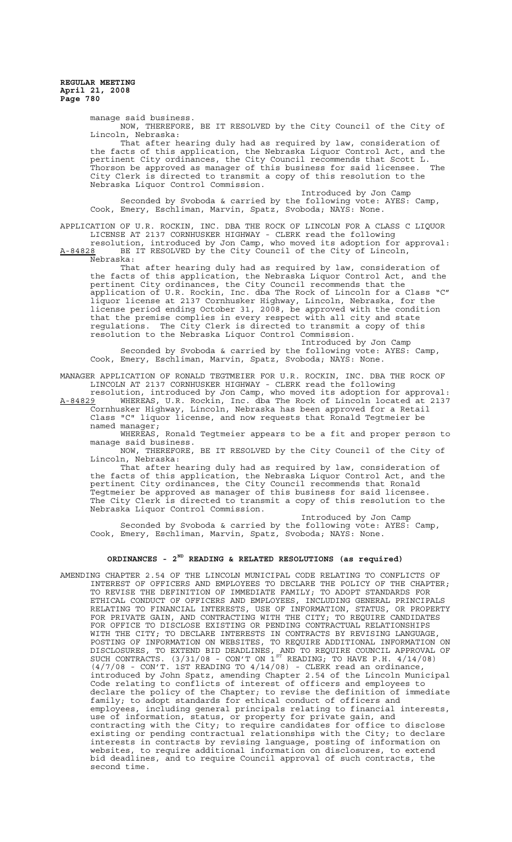manage said business.

NOW, THEREFORE, BE IT RESOLVED by the City Council of the City of Lincoln, Nebraska:

That after hearing duly had as required by law, consideration of the facts of this application, the Nebraska Liquor Control Act, and the pertinent City ordinances, the City Council recommends that Scott L. Thorson be approved as manager of this business for said licensee. The City Clerk is directed to transmit a copy of this resolution to the Nebraska Liquor Control Commission.

Introduced by Jon Camp Seconded by Svoboda & carried by the following vote: AYES: Camp, Cook, Emery, Eschliman, Marvin, Spatz, Svoboda; NAYS: None.

APPLICATION OF U.R. ROCKIN, INC. DBA THE ROCK OF LINCOLN FOR A CLASS C LIQUOR LICENSE AT 2137 CORNHUSKER HIGHWAY - CLERK read the following resolution, introduced by Jon Camp, who moved its adoption for approval:

A-84828 BE IT RESOLVED by the City Council of the City of Lincoln, Nebraska:

That after hearing duly had as required by law, consideration of the facts of this application, the Nebraska Liquor Control Act, and the pertinent City ordinances, the City Council recommends that the application of U.R. Rockin, Inc. dba The Rock of Lincoln for a Class "C" liquor license at 2137 Cornhusker Highway, Lincoln, Nebraska, for the license period ending October 31, 2008, be approved with the condition that the premise complies in every respect with all city and state regulations. The City Clerk is directed to transmit a copy of this resolution to the Nebraska Liquor Control Commission.

Introduced by Jon Camp Seconded by Svoboda & carried by the following vote: AYES: Camp, Cook, Emery, Eschliman, Marvin, Spatz, Svoboda; NAYS: None.

MANAGER APPLICATION OF RONALD TEGTMEIER FOR U.R. ROCKIN, INC. DBA THE ROCK OF LINCOLN AT 2137 CORNHUSKER HIGHWAY - CLERK read the following

resolution, introduced by Jon Camp, who moved its adoption for approval: A-84829 MHEREAS, U.R. Rockin, Inc. dba The Rock of Lincoln located at 2137 Cornhusker Highway, Lincoln, Nebraska has been approved for a Retail Class "C" liquor license, and now requests that Ronald Tegtmeier be

named manager; WHEREAS, Ronald Tegtmeier appears to be a fit and proper person to manage said business.

NOW, THEREFORE, BE IT RESOLVED by the City Council of the City of Lincoln, Nebraska:

That after hearing duly had as required by law, consideration of the facts of this application, the Nebraska Liquor Control Act, and the pertinent City ordinances, the City Council recommends that Ronald Tegtmeier be approved as manager of this business for said licensee. The City Clerk is directed to transmit a copy of this resolution to the Nebraska Liquor Control Commission.

Introduced by Jon Camp Seconded by Svoboda & carried by the following vote: AYES: Camp, Cook, Emery, Eschliman, Marvin, Spatz, Svoboda; NAYS: None.

# **ORDINANCES - 2ND READING & RELATED RESOLUTIONS (as required)**

AMENDING CHAPTER 2.54 OF THE LINCOLN MUNICIPAL CODE RELATING TO CONFLICTS OF INTEREST OF OFFICERS AND EMPLOYEES TO DECLARE THE POLICY OF THE CHAPTER; TO REVISE THE DEFINITION OF IMMEDIATE FAMILY; TO ADOPT STANDARDS FOR ETHICAL CONDUCT OF OFFICERS AND EMPLOYEES, INCLUDING GENERAL PRINCIPALS RELATING TO FINANCIAL INTERESTS, USE OF INFORMATION, STATUS, OR PROPERTY FOR PRIVATE GAIN, AND CONTRACTING WITH THE CITY; TO REQUIRE CANDIDATES FOR OFFICE TO DISCLOSE EXISTING OR PENDING CONTRACTUAL RELATIONSHIPS WITH THE CITY; TO DECLARE INTERESTS IN CONTRACTS BY REVISING LANGUAGE, POSTING OF INFORMATION ON WEBSITES, TO REQUIRE ADDITIONAL INFORMATION ON DISCLOSURES, TO EXTEND BID DEADLINES, AND TO REQUIRE COUNCIL APPROVAL OF SUCH CONTRACTS.  $(3/31/08$  - CON'T ON  $1^{ST}$  READING, TO HAVE P.H.  $4/14/08$ )  $(4/7/08$  - CON'T. 1ST READING TO  $4/14/08$ ) - CLERK read an ordinance, introduced by John Spatz, amending Chapter 2.54 of the Lincoln Municipal Code relating to conflicts of interest of officers and employees to declare the policy of the Chapter; to revise the definition of immediate family; to adopt standards for ethical conduct of officers and employees, including general principals relating to financial interests, use of information, status, or property for private gain, and contracting with the City; to require candidates for office to disclose existing or pending contractual relationships with the City; to declare interests in contracts by revising language, posting of information on websites, to require additional information on disclosures, to extend bid deadlines, and to require Council approval of such contracts, the second time.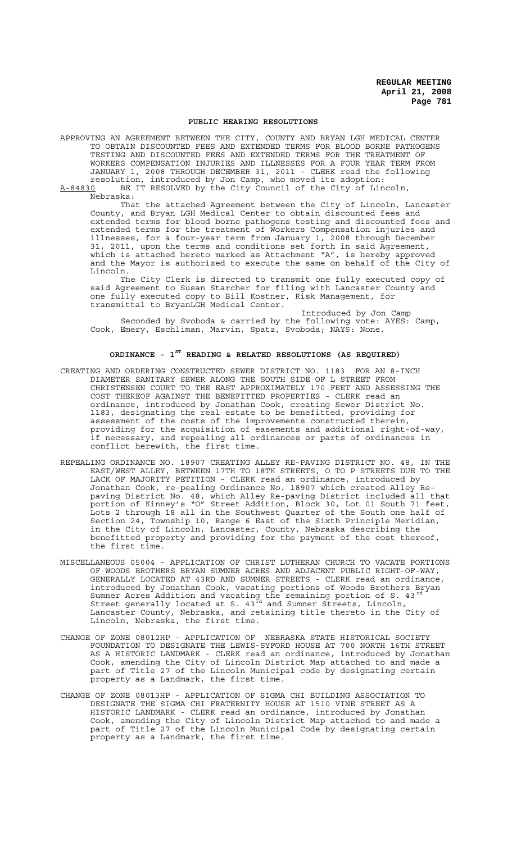#### **PUBLIC HEARING RESOLUTIONS**

APPROVING AN AGREEMENT BETWEEN THE CITY, COUNTY AND BRYAN LGH MEDICAL CENTER TO OBTAIN DISCOUNTED FEES AND EXTENDED TERMS FOR BLOOD BORNE PATHOGENS TESTING AND DISCOUNTED FEES AND EXTENDED TERMS FOR THE TREATMENT OF WORKERS COMPENSATION INJURIES AND ILLNESSES FOR A FOUR YEAR TERM FROM JANUARY 1, 2008 THROUGH DECEMBER 31, 2011 - CLERK read the following resolution, introduced by Jon Camp, who moved its adoption: A-84830 BE IT RESOLVED by the City Council of the City of Lincoln,

Nebraska:

That the attached Agreement between the City of Lincoln, Lancaster County, and Bryan LGH Medical Center to obtain discounted fees and extended terms for blood borne pathogens testing and discounted fees and extended terms for the treatment of Workers Compensation injuries and illnesses, for a four-year term from January 1, 2008 through December 31, 2011, upon the terms and conditions set forth in said Agreement, which is attached hereto marked as Attachment "A", is hereby approved and the Mayor is authorized to execute the same on behalf of the City of Lincoln.

The City Clerk is directed to transmit one fully executed copy of said Agreement to Susan Starcher for filing with Lancaster County and one fully executed copy to Bill Kostner, Risk Management, for transmittal to BryanLGH Medical Center.

Introduced by Jon Camp Seconded by Svoboda & carried by the following vote: AYES: Camp, Cook, Emery, Eschliman, Marvin, Spatz, Svoboda; NAYS: None.

# **ORDINANCE - 1ST READING & RELATED RESOLUTIONS (AS REQUIRED)**

- CREATING AND ORDERING CONSTRUCTED SEWER DISTRICT NO. 1183 FOR AN 8-INCH DIAMETER SANITARY SEWER ALONG THE SOUTH SIDE OF L STREET FROM CHRISTENSEN COURT TO THE EAST APPROXIMATELY 170 FEET AND ASSESSING THE COST THEREOF AGAINST THE BENEFITTED PROPERTIES - CLERK read an ordinance, introduced by Jonathan Cook, creating Sewer District No. 1183, designating the real estate to be benefitted, providing for assessment of the costs of the improvements constructed therein, providing for the acquisition of easements and additional right-of-way, if necessary, and repealing all ordinances or parts of ordinances in conflict herewith, the first time.
- REPEALING ORDINANCE NO. 18907 CREATING ALLEY RE-PAVING DISTRICT NO. 48, IN THE EAST/WEST ALLEY, BETWEEN 17TH TO 18TH STREETS, O TO P STREETS DUE TO THE LACK OF MAJORITY PETITION - CLERK read an ordinance, introduced by Jonathan Cook, re-pealing Ordinance No. 18907 which created Alley Repaving District No. 48, which Alley Re-paving District included all that portion of Kinney's "O" Street Addition, Block 30, Lot 01 South 71 feet, Lots 2 through 18 all in the Southwest Quarter of the South one half of Section 24, Township 10, Range 6 East of the Sixth Principle Meridian, in the City of Lincoln, Lancaster, County, Nebraska describing the benefitted property and providing for the payment of the cost thereof, the first time.
- MISCELLANEOUS 05004 APPLICATION OF CHRIST LUTHERAN CHURCH TO VACATE PORTIONS OF WOODS BROTHERS BRYAN SUMNER ACRES AND ADJACENT PUBLIC RIGHT-OF-WAY, GENERALLY LOCATED AT 43RD AND SUMNER STREETS - CLERK read an ordinance, introduced by Jonathan Cook, vacating portions of Woods Brothers Bryan Sumner Acres Addition and vacating the remaining portion of S. 43 $^{\text{rd}}$ Street generally located at S.  $43^{\frac{3}{rd}}$  and Sumner Streets, Lincoln, Lancaster County, Nebraska, and retaining title thereto in the City of Lincoln, Nebraska, the first time.
- CHANGE OF ZONE 08012HP APPLICATION OF NEBRASKA STATE HISTORICAL SOCIETY FOUNDATION TO DESIGNATE THE LEWIS-SYFORD HOUSE AT 700 NORTH 16TH STREET AS A HISTORIC LANDMARK - CLERK read an ordinance, introduced by Jonathan Cook, amending the City of Lincoln District Map attached to and made a part of Title 27 of the Lincoln Municipal code by designating certain property as a Landmark, the first time.
- CHANGE OF ZONE 08013HP APPLICATION OF SIGMA CHI BUILDING ASSOCIATION TO DESIGNATE THE SIGMA CHI FRATERNITY HOUSE AT 1510 VINE STREET AS A HISTORIC LANDMARK - CLERK read an ordinance, introduced by Jonathan Cook, amending the City of Lincoln District Map attached to and made a part of Title 27 of the Lincoln Municipal Code by designating certain property as a Landmark, the first time.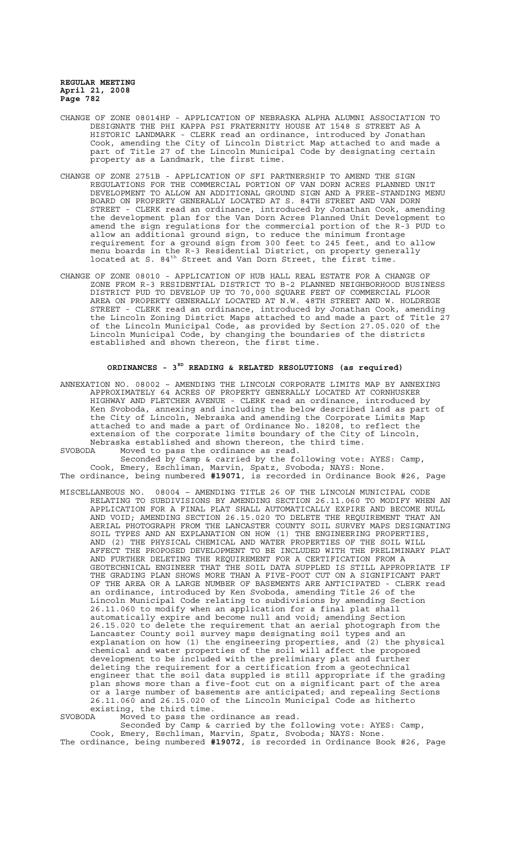- CHANGE OF ZONE 08014HP APPLICATION OF NEBRASKA ALPHA ALUMNI ASSOCIATION TO DESIGNATE THE PHI KAPPA PSI FRATERNITY HOUSE AT 1548 S STREET AS A HISTORIC LANDMARK - CLERK read an ordinance, introduced by Jonathan Cook, amending the City of Lincoln District Map attached to and made a part of Title 27 of the Lincoln Municipal Code by designating certain property as a Landmark, the first time.
- CHANGE OF ZONE 2751B APPLICATION OF SFI PARTNERSHIP TO AMEND THE SIGN REGULATIONS FOR THE COMMERCIAL PORTION OF VAN DORN ACRES PLANNED UNIT DEVELOPMENT TO ALLOW AN ADDITIONAL GROUND SIGN AND A FREE-STANDING MENU BOARD ON PROPERTY GENERALLY LOCATED AT S. 84TH STREET AND VAN DORN STREET - CLERK read an ordinance, introduced by Jonathan Cook, amending the development plan for the Van Dorn Acres Planned Unit Development to amend the sign regulations for the commercial portion of the R-3 PUD to allow an additional ground sign, to reduce the minimum frontage requirement for a ground sign from 300 feet to 245 feet, and to allow menu boards in the R-3 Residential District, on property generally located at S. 84<sup>th</sup> Street and Van Dorn Street, the first time.
- CHANGE OF ZONE 08010 APPLICATION OF HUB HALL REAL ESTATE FOR A CHANGE OF ZONE FROM R-3 RESIDENTIAL DISTRICT TO B-2 PLANNED NEIGHBORHOOD BUSINESS DISTRICT PUD TO DEVELOP UP TO 70,000 SQUARE FEET OF COMMERCIAL FLOOR AREA ON PROPERTY GENERALLY LOCATED AT N.W. 48TH STREET AND W. HOLDREGE STREET - CLERK read an ordinance, introduced by Jonathan Cook, amending the Lincoln Zoning District Maps attached to and made a part of Title 27 of the Lincoln Municipal Code, as provided by Section 27.05.020 of the Lincoln Municipal Code, by changing the boundaries of the districts established and shown thereon, the first time.

## **ORDINANCES - 3RD READING & RELATED RESOLUTIONS (as required)**

ANNEXATION NO. 08002 – AMENDING THE LINCOLN CORPORATE LIMITS MAP BY ANNEXING APPROXIMATELY 64 ACRES OF PROPERTY GENERALLY LOCATED AT CORNHUSKER HIGHWAY AND FLETCHER AVENUE - CLERK read an ordinance, introduced by Ken Svoboda, annexing and including the below described land as part of the City of Lincoln, Nebraska and amending the Corporate Limits Map attached to and made a part of Ordinance No. 18208, to reflect the extension of the corporate limits boundary of the City of Lincoln, Nebraska established and shown thereon, the third time.

SVOBODA Moved to pass the ordinance as read. Seconded by Camp & carried by the following vote: AYES: Camp, Cook, Emery, Eschliman, Marvin, Spatz, Svoboda; NAYS: None.

The ordinance, being numbered **#19071**, is recorded in Ordinance Book #26, Page

MISCELLANEOUS NO. 08004 – AMENDING TITLE 26 OF THE LINCOLN MUNICIPAL CODE RELATING TO SUBDIVISIONS BY AMENDING SECTION 26.11.060 TO MODIFY WHEN AN APPLICATION FOR A FINAL PLAT SHALL AUTOMATICALLY EXPIRE AND BECOME NULL AND VOID; AMENDING SECTION 26.15.020 TO DELETE THE REQUIREMENT THAT AN AERIAL PHOTOGRAPH FROM THE LANCASTER COUNTY SOIL SURVEY MAPS DESIGNATING SOIL TYPES AND AN EXPLANATION ON HOW (1) THE ENGINEERING PROPERTIES, AND (2) THE PHYSICAL CHEMICAL AND WATER PROPERTIES OF THE SOIL WILL AFFECT THE PROPOSED DEVELOPMENT TO BE INCLUDED WITH THE PRELIMINARY PLAT AFFECT THE PROPOSED DEVELOPMENT TO BE INCLUDED WITH THE PRELIMII<br>AND FURTHER DELETING THE REQUIREMENT FOR A CERTIFICATION FROM A GEOTECHNICAL ENGINEER THAT THE SOIL DATA SUPPLED IS STILL APPROPRIATE IF THE GRADING PLAN SHOWS MORE THAN A FIVE-FOOT CUT ON A SIGNIFICANT PART OF THE AREA OR A LARGE NUMBER OF BASEMENTS ARE ANTICIPATED - CLERK read an ordinance, introduced by Ken Svoboda, amending Title 26 of the Lincoln Municipal Code relating to subdivisions by amending Section 26.11.060 to modify when an application for a final plat shall automatically expire and become null and void; amending Section 26.15.020 to delete the requirement that an aerial photograph from the Lancaster County soil survey maps designating soil types and an explanation on how (1) the engineering properties, and (2) the physical chemical and water properties of the soil will affect the proposed development to be included with the preliminary plat and further deleting the requirement for a certification from a geotechnical engineer that the soil data suppled is still appropriate if the grading plan shows more than a five-foot cut on a significant part of the area or a large number of basements are anticipated; and repealing Sections 26.11.060 and 26.15.020 of the Lincoln Municipal Code as hitherto existing, the third time.

SVOBODA Moved to pass the ordinance as read.

Seconded by Camp & carried by the following vote: AYES: Camp, Cook, Emery, Eschliman, Marvin, Spatz, Svoboda; NAYS: None. The ordinance, being numbered **#19072**, is recorded in Ordinance Book #26, Page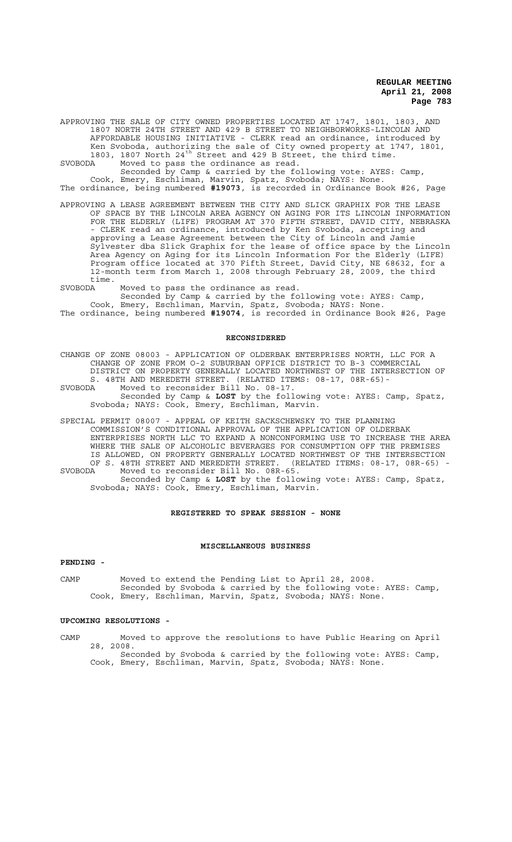APPROVING THE SALE OF CITY OWNED PROPERTIES LOCATED AT 1747, 1801, 1803, AND 1807 NORTH 24TH STREET AND 429 B STREET TO NEIGHBORWORKS-LINCOLN AND AFFORDABLE HOUSING INITIATIVE - CLERK read an ordinance, introduced by Ken Svoboda, authorizing the sale of City owned property at 1747, 1801, 1803, 1807 North 24<sup>th</sup> Street and 429 B Street, the third time.

SVOBODA Moved to pass the ordinance as read.

Seconded by Camp & carried by the following vote: AYES: Camp, Cook, Emery, Eschliman, Marvin, Spatz, Svoboda; NAYS: None.

- The ordinance, being numbered **#19073**, is recorded in Ordinance Book #26, Page
- APPROVING A LEASE AGREEMENT BETWEEN THE CITY AND SLICK GRAPHIX FOR THE LEASE OF SPACE BY THE LINCOLN AREA AGENCY ON AGING FOR ITS LINCOLN INFORMATION FOR THE ELDERLY (LIFE) PROGRAM AT 370 FIFTH STREET, DAVID CITY, NEBRASKA - CLERK read an ordinance, introduced by Ken Svoboda, accepting and approving a Lease Agreement between the City of Lincoln and Jamie Sylvester dba Slick Graphix for the lease of office space by the Lincoln Area Agency on Aging for its Lincoln Information For the Elderly (LIFE) Program office located at 370 Fifth Street, David City, NE 68632, for a 12-month term from March 1, 2008 through February 28, 2009, the third time.

SVOBODA Moved to pass the ordinance as read.

Seconded by Camp & carried by the following vote: AYES: Camp, Cook, Emery, Eschliman, Marvin, Spatz, Svoboda; NAYS: None. The ordinance, being numbered **#19074**, is recorded in Ordinance Book #26, Page

#### **RECONSIDERED**

CHANGE OF ZONE 08003 - APPLICATION OF OLDERBAK ENTERPRISES NORTH, LLC FOR A CHANGE OF ZONE FROM O-2 SUBURBAN OFFICE DISTRICT TO B-3 COMMERCIAL DISTRICT ON PROPERTY GENERALLY LOCATED NORTHWEST OF THE INTERSECTION OF S. 48TH AND MEREDETH STREET. (RELATED ITEMS: 08-17, 08R-65)- SVOBODA Moved to reconsider Bill No. 08-17. Seconded by Camp & **LOST** by the following vote: AYES: Camp, Spatz, Svoboda; NAYS: Cook, Emery, Eschliman, Marvin.

SPECIAL PERMIT 08007 - APPEAL OF KEITH SACKSCHEWSKY TO THE PLANNING COMMISSION'S CONDITIONAL APPROVAL OF THE APPLICATION OF OLDERBAK ENTERPRISES NORTH LLC TO EXPAND A NONCONFORMING USE TO INCREASE THE AREA WHERE THE SALE OF ALCOHOLIC BEVERAGES FOR CONSUMPTION OFF THE PREMISES IS ALLOWED, ON PROPERTY GENERALLY LOCATED NORTHWEST OF THE INTERSECTION OF S. 48TH STREET AND MEREDETH STREET. (RELATED ITEMS: 08-17, 08R-65) -<br>SVOBODA Moved to reconsider Bill No. 08R-65. SVOBODA Moved to reconsider Bill No. 08R-65. Seconded by Camp & **LOST** by the following vote: AYES: Camp, Spatz, Svoboda; NAYS: Cook, Emery, Eschliman, Marvin.

#### **REGISTERED TO SPEAK SESSION - NONE**

#### **MISCELLANEOUS BUSINESS**

## **PENDING -**

CAMP Moved to extend the Pending List to April 28, 2008. Seconded by Svoboda & carried by the following vote: AYES: Camp, Cook, Emery, Eschliman, Marvin, Spatz, Svoboda; NAYS: None.

### **UPCOMING RESOLUTIONS -**

CAMP Moved to approve the resolutions to have Public Hearing on April 28, 2008. Seconded by Svoboda & carried by the following vote: AYES: Camp,

Cook, Emery, Eschliman, Marvin, Spatz, Svoboda; NAYS: None.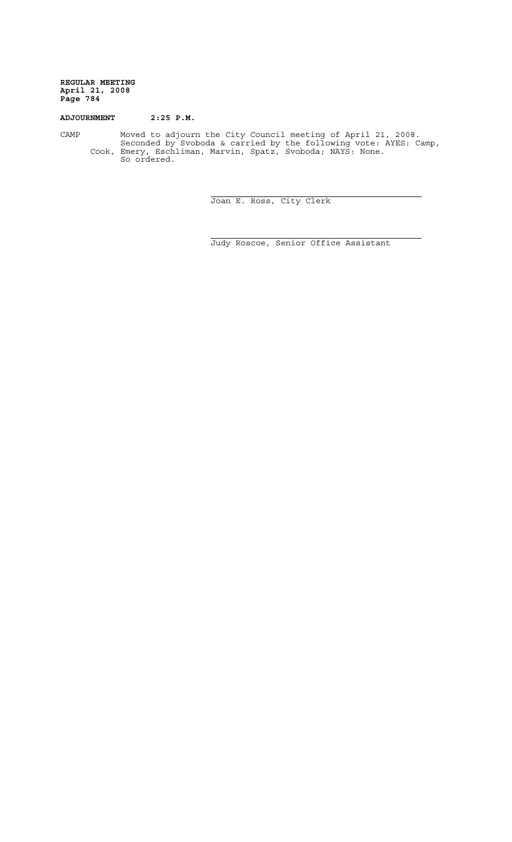# **ADJOURNMENT 2:25 P.M.**

CAMP Moved to adjourn the City Council meeting of April 21, 2008. Seconded by Svoboda & carried by the following vote: AYES: Camp, Cook, Emery, Eschliman, Marvin, Spatz, Svoboda; NAYS: None. So ordered.

i

i.

Joan E. Ross, City Clerk

Judy Roscoe, Senior Office Assistant